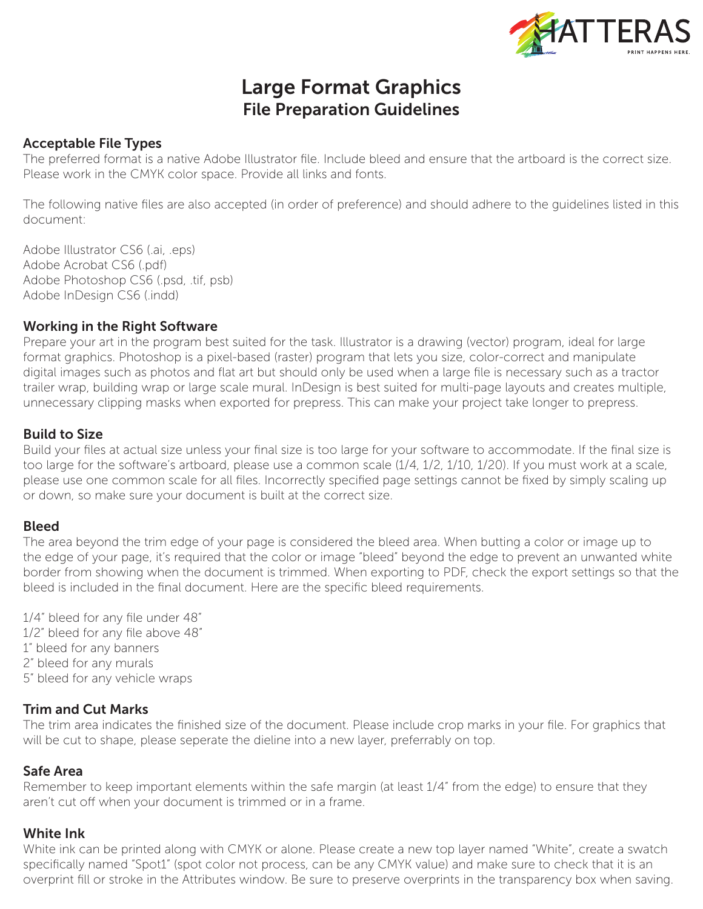

# Large Format Graphics File Preparation Guidelines

## Acceptable File Types

The preferred format is a native Adobe Illustrator file. Include bleed and ensure that the artboard is the correct size. Please work in the CMYK color space. Provide all links and fonts.

The following native files are also accepted (in order of preference) and should adhere to the guidelines listed in this document:

Adobe Illustrator CS6 (.ai, .eps) Adobe Acrobat CS6 (.pdf) Adobe Photoshop CS6 (.psd, .tif, psb) Adobe InDesign CS6 (.indd)

## Working in the Right Software

Prepare your art in the program best suited for the task. Illustrator is a drawing (vector) program, ideal for large format graphics. Photoshop is a pixel-based (raster) program that lets you size, color-correct and manipulate digital images such as photos and flat art but should only be used when a large file is necessary such as a tractor trailer wrap, building wrap or large scale mural. InDesign is best suited for multi-page layouts and creates multiple, unnecessary clipping masks when exported for prepress. This can make your project take longer to prepress.

## Build to Size

Build your files at actual size unless your final size is too large for your software to accommodate. If the final size is too large for the software's artboard, please use a common scale (1/4, 1/2, 1/10, 1/20). If you must work at a scale, please use one common scale for all files. Incorrectly specified page settings cannot be fixed by simply scaling up or down, so make sure your document is built at the correct size.

## Bleed

The area beyond the trim edge of your page is considered the bleed area. When butting a color or image up to the edge of your page, it's required that the color or image "bleed" beyond the edge to prevent an unwanted white border from showing when the document is trimmed. When exporting to PDF, check the export settings so that the bleed is included in the final document. Here are the specific bleed requirements.

1/4" bleed for any file under 48"

- 1/2" bleed for any file above 48"
- 1" bleed for any banners
- 2" bleed for any murals
- 5" bleed for any vehicle wraps

## Trim and Cut Marks

The trim area indicates the finished size of the document. Please include crop marks in your file. For graphics that will be cut to shape, please seperate the dieline into a new layer, preferrably on top.

## Safe Area

Remember to keep important elements within the safe margin (at least 1/4" from the edge) to ensure that they aren't cut off when your document is trimmed or in a frame.

## White Ink

White ink can be printed along with CMYK or alone. Please create a new top layer named "White", create a swatch specifically named "Spot1" (spot color not process, can be any CMYK value) and make sure to check that it is an overprint fill or stroke in the Attributes window. Be sure to preserve overprints in the transparency box when saving.